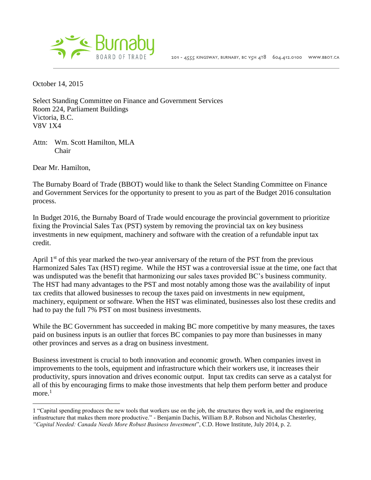

October 14, 2015

Select Standing Committee on Finance and Government Services Room 224, Parliament Buildings Victoria, B.C. V8V 1X4

Attn: Wm. Scott Hamilton, MLA Chair

Dear Mr. Hamilton,

 $\overline{a}$ 

The Burnaby Board of Trade (BBOT) would like to thank the Select Standing Committee on Finance and Government Services for the opportunity to present to you as part of the Budget 2016 consultation process.

In Budget 2016, the Burnaby Board of Trade would encourage the provincial government to prioritize fixing the Provincial Sales Tax (PST) system by removing the provincial tax on key business investments in new equipment, machinery and software with the creation of a refundable input tax credit.

April  $1<sup>st</sup>$  of this year marked the two-year anniversary of the return of the PST from the previous Harmonized Sales Tax (HST) regime. While the HST was a controversial issue at the time, one fact that was undisputed was the benefit that harmonizing our sales taxes provided BC's business community. The HST had many advantages to the PST and most notably among those was the availability of input tax credits that allowed businesses to recoup the taxes paid on investments in new equipment, machinery, equipment or software. When the HST was eliminated, businesses also lost these credits and had to pay the full 7% PST on most business investments.

While the BC Government has succeeded in making BC more competitive by many measures, the taxes paid on business inputs is an outlier that forces BC companies to pay more than businesses in many other provinces and serves as a drag on business investment.

Business investment is crucial to both innovation and economic growth. When companies invest in improvements to the tools, equipment and infrastructure which their workers use, it increases their productivity, spurs innovation and drives economic output. Input tax credits can serve as a catalyst for all of this by encouraging firms to make those investments that help them perform better and produce  $more.<sup>1</sup>$ 

<sup>1</sup> "Capital spending produces the new tools that workers use on the job, the structures they work in, and the engineering infrastructure that makes them more productive." - Benjamin Dachis, William B.P. Robson and Nicholas Chesterley, *"Capital Needed: Canada Needs More Robust Business Investment*", C.D. Howe Institute, July 2014, p. 2.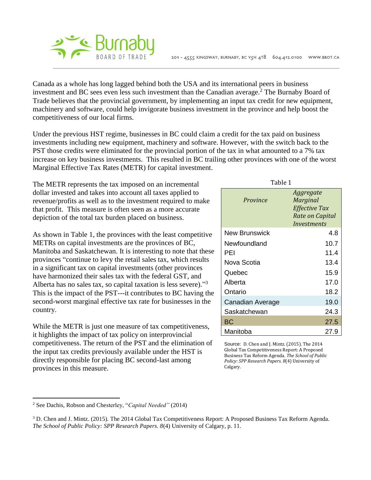

Canada as a whole has long lagged behind both the USA and its international peers in business investment and BC sees even less such investment than the Canadian average.<sup>2</sup> The Burnaby Board of Trade believes that the provincial government, by implementing an input tax credit for new equipment, machinery and software, could help invigorate business investment in the province and help boost the competitiveness of our local firms.

Under the previous HST regime, businesses in BC could claim a credit for the tax paid on business investments including new equipment, machinery and software. However, with the switch back to the PST those credits were eliminated for the provincial portion of the tax in what amounted to a 7% tax increase on key business investments. This resulted in BC trailing other provinces with one of the worst Marginal Effective Tax Rates (METR) for capital investment.

The METR represents the tax imposed on an incremental dollar invested and takes into account all taxes applied to revenue/profits as well as to the investment required to make that profit. This measure is often seen as a more accurate depiction of the total tax burden placed on business.

As shown in Table 1, the provinces with the least competitive METRs on capital investments are the provinces of BC, Manitoba and Saskatchewan. It is interesting to note that these provinces "continue to levy the retail sales tax, which results in a significant tax on capital investments (other provinces have harmonized their sales tax with the federal GST, and Alberta has no sales tax, so capital taxation is less severe)."<sup>3</sup> This is the impact of the PST---it contributes to BC having the second-worst marginal effective tax rate for businesses in the country.

While the METR is just one measure of tax competitiveness, it highlights the impact of tax policy on interprovincial competitiveness. The return of the PST and the elimination of the input tax credits previously available under the HST is directly responsible for placing BC second-last among provinces in this measure.

| Table 1          |                                                                          |
|------------------|--------------------------------------------------------------------------|
| Province         | Aggregate<br>Marginal<br>Effective Tax<br>Rate on Capital<br>Investments |
| New Brunswick    | 4.8                                                                      |
| Newfoundland     | 10.7                                                                     |
| PEI              | 11.4                                                                     |
| Nova Scotia      | 13.4                                                                     |
| Quebec           | 15.9                                                                     |
| Alberta          | 17.0                                                                     |
| Ontario          | 18.2                                                                     |
| Canadian Average | 19.0                                                                     |
| Saskatchewan     | 24.3                                                                     |
| ВC               | 27.5                                                                     |
| Manitoba         | 27.9                                                                     |

Source: D. Chen and J. Mintz. (2015). The 2014 Global Tax Competitiveness Report: A Proposed Business Tax Reform Agenda. *The School of Public Policy: SPP Research Papers. 8*(4) University of Calgary.

 $\overline{a}$ 

<sup>2</sup> See Dachis, Robson and Chesterley, "*Capital Needed"* (2014)

<sup>3</sup> D. Chen and J. Mintz. (2015). The 2014 Global Tax Competitiveness Report: A Proposed Business Tax Reform Agenda. *The School of Public Policy: SPP Research Papers. 8*(4) University of Calgary, p. 11.